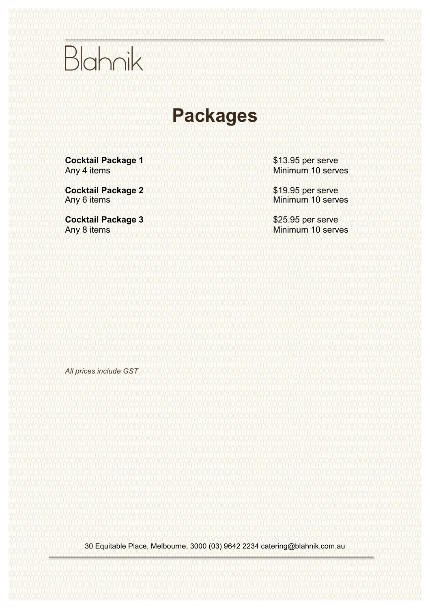### **Packages**

| Cocktail Package 1 Any 4 items <b>□</b> |  | SHAHHOLOLPPMHHAU |
|-----------------------------------------|--|------------------|
|-----------------------------------------|--|------------------|

**Cocktail Package 2 Any 6 items <b>SHVHUYGLPRVHUVH** 

**Cocktail Package 3** Any 8 items **SHVHUOLQLPPVHHV** 

*All prices include GST*

30 Equitable Place, Melbourne, 3000 (03) 9642 2234 catering@blahnik.com.au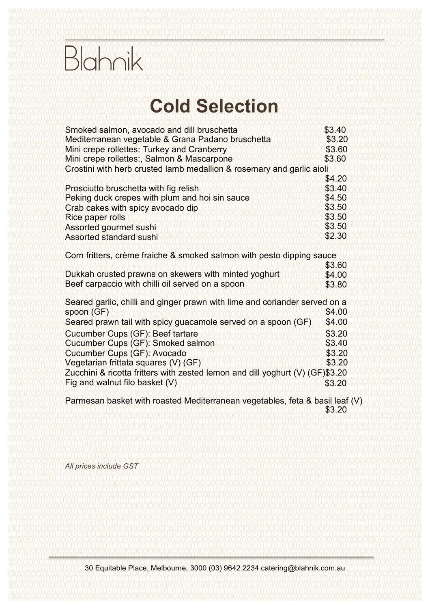#### **Cold Selection**

| Smoked salmon, avocado and dill bruschetta                                     |        |  |
|--------------------------------------------------------------------------------|--------|--|
| Mediterranean vegetable & Grana Padano bruschetta                              |        |  |
| Mini crepe rollettes: Turkey and Cranberry                                     | \$4.20 |  |
| Mini crepe rollettes:, Salmon & Mascarpone                                     | \$4.20 |  |
| Crostini with herb crusted lamb medallion & rosemary and garlic aioli          | \$4.90 |  |
| Prosciutto bruschetta with fig relish                                          | \$4.00 |  |
| Peking duck crepes with plum and hoi sin sauce                                 | \$4.90 |  |
| Crab cakes with spicy avocado dip                                              | \$4.20 |  |
| <b>Rice paper rolls</b>                                                        | \$4.20 |  |
| Assorted gourmet sushi                                                         | \$4.20 |  |
| <b>Assorted standard sushi</b>                                                 | \$2.50 |  |
| Corn fritters, crème fraiche & smoked salmon with pesto dipping sauce          | \$4.20 |  |
| Dukkah crusted prawns on skewers with minted yoghurt                           | \$4.50 |  |
| Beef carpaccio with chilli oil served on a spoon                               | \$4.20 |  |
| Seared garlic, chilli and ginger prawn with lime and coriander on a spoon (GF) |        |  |
|                                                                                | \$4.50 |  |
| Seared prawn tail with spicy guacamole served on a spoon (GF)                  | \$4.50 |  |
| Cucumber Cups (GF): Beef tartare                                               | \$3.50 |  |
| Cucumber Cups (GF): Smoked salmon                                              | \$3.90 |  |
| Cucumber Cups (GF): Avocado                                                    | \$3.50 |  |
| Vegetarian frittata squares (V) (GF)                                           | \$3.90 |  |
| Zucchini & ricotta fritters with zested lemon and dill yoghurt (V) (GF)        | \$3.50 |  |
| Fig and walnut filo basket (V)                                                 | \$3.50 |  |
| Parmesan basket with roasted Mediterranean vegetables, feta & basil leaf (V)   |        |  |
|                                                                                | \$3.90 |  |

*All prices are per serve and include GST*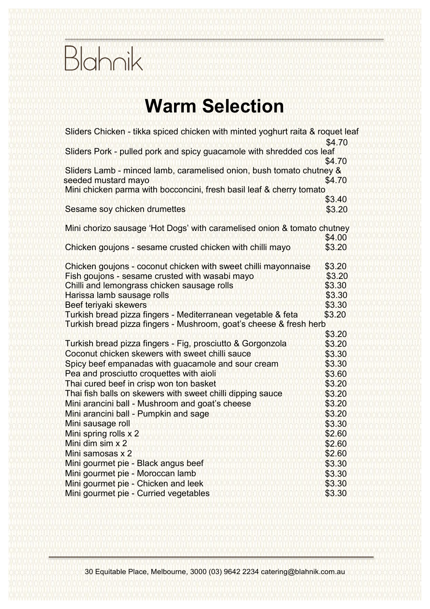#### **Warm Selection**

| Sliders Chicken - tikka spiced chicken with minted yoghurt raita & roquet leaf<br>Sliders Pork - pulled pork and spicy guacamole with shredded cos leaf<br>Sliders Lamb - minced lamb, caramelised onion, bush tomato chutney & | \$5.50<br>\$5.50 |
|---------------------------------------------------------------------------------------------------------------------------------------------------------------------------------------------------------------------------------|------------------|
| seeded mustard mayo                                                                                                                                                                                                             | \$5.50           |
| Mini chicken parma with bocconcini, fresh basil leaf & cherry tomato                                                                                                                                                            | \$4.20           |
| Sesame soy chicken drumettes                                                                                                                                                                                                    | \$3.90           |
| Mini chorizo sausage 'Hot Dogs' with caramelised onion & tomato chutney                                                                                                                                                         | \$5.00           |
| Chicken goujons - sesame crusted chicken with chilli mayo                                                                                                                                                                       | \$3.90           |
| Chicken goujons - coconut chicken with sweet chilli mayonnaise                                                                                                                                                                  | \$3.90           |
| Fish goujons - sesame crusted with wasabi mayo                                                                                                                                                                                  | \$3.90           |
| Chilli and lemongrass chicken sausage rolls                                                                                                                                                                                     | \$3.30           |
| Harissa lamb sausage rolls                                                                                                                                                                                                      | \$3.30           |
| Beef teriyaki skewers                                                                                                                                                                                                           | \$3.30           |
| Turkish bread pizza fingers - Mediterranean vegetable & feta                                                                                                                                                                    | \$3.80           |
| Turkish bread pizza fingers - Mushroom, goat's cheese & fresh herb                                                                                                                                                              | \$3.80           |
| Turkish bread pizza fingers - Fig, prosciutto & Gorgonzola                                                                                                                                                                      | \$3.80           |
| Coconut chicken skewers with sweet chilli sauce                                                                                                                                                                                 | \$3.30           |
| Spicy beef empanadas with guacamole and sour cream                                                                                                                                                                              | \$3.90           |
| Pea and prosciutto croquettes with aioli                                                                                                                                                                                        | \$4.00           |
| Thai cured beef in crisp won ton basket                                                                                                                                                                                         | \$3.90           |
| Thai fish balls on skewers with sweet chilli dipping sauce                                                                                                                                                                      | \$3.90           |
| Mini arancini ball - Mushroom and goat's cheese                                                                                                                                                                                 | \$3.90           |
| Mini arancini ball - Pumpkin and sage                                                                                                                                                                                           | \$3.90           |
| Mini sausage roll                                                                                                                                                                                                               | \$4.20           |
| Mini spring rolls x 2                                                                                                                                                                                                           | \$3.20           |
| Mini dim sim x 2                                                                                                                                                                                                                | \$3.20           |
| Mini samosas x 2                                                                                                                                                                                                                | \$3.20           |
| Mini gourmet pie - Black angus beef                                                                                                                                                                                             | \$4.20           |
| Mini gourmet pie - Moroccan lamb                                                                                                                                                                                                | \$4.20           |
| Mini gourmet pie - Chicken and leek                                                                                                                                                                                             | \$4.20           |
| Mini gourmet pie - Curried vegetables                                                                                                                                                                                           | \$4.20           |

*All prices are per serve and include GST*

30 Equitable Place, Melbourne, 3000 (03) 9642 2234 catering@blahnik.com.au